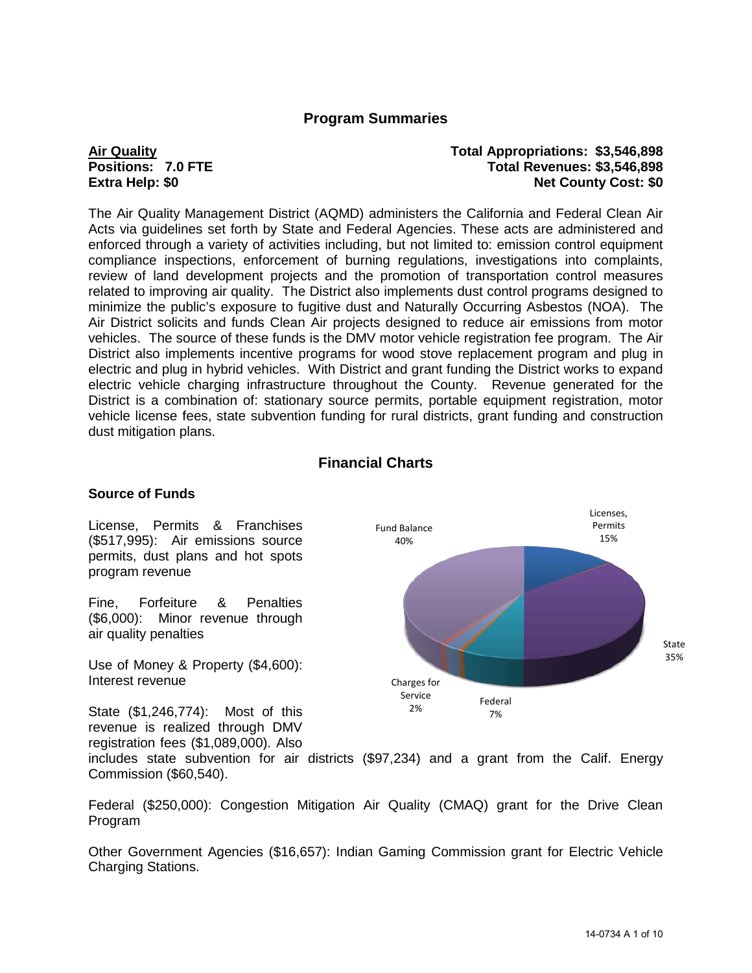## **Program Summaries**

### **Air Quality Total Appropriations: \$3,546,898 Positions: 7.0 FTE Total Revenues: \$3,546,898 Net County Cost: \$0**

The Air Quality Management District (AQMD) administers the California and Federal Clean Air Acts via guidelines set forth by State and Federal Agencies. These acts are administered and enforced through a variety of activities including, but not limited to: emission control equipment compliance inspections, enforcement of burning regulations, investigations into complaints, review of land development projects and the promotion of transportation control measures related to improving air quality. The District also implements dust control programs designed to minimize the public's exposure to fugitive dust and Naturally Occurring Asbestos (NOA). The Air District solicits and funds Clean Air projects designed to reduce air emissions from motor vehicles. The source of these funds is the DMV motor vehicle registration fee program. The Air District also implements incentive programs for wood stove replacement program and plug in electric and plug in hybrid vehicles. With District and grant funding the District works to expand electric vehicle charging infrastructure throughout the County. Revenue generated for the District is a combination of: stationary source permits, portable equipment registration, motor vehicle license fees, state subvention funding for rural districts, grant funding and construction dust mitigation plans.

## **Financial Charts**

### **Source of Funds**

License, Permits & Franchises (\$517,995): Air emissions source permits, dust plans and hot spots program revenue

Fine, Forfeiture & Penalties (\$6,000): Minor revenue through air quality penalties

Use of Money & Property (\$4,600): Interest revenue

State (\$1,246,774): Most of this revenue is realized through DMV registration fees (\$1,089,000). Also

Licenses, Permits 15% State 35% Federal 7% Charges for Service 2% Fund Balance 40%

includes state subvention for air districts (\$97,234) and a grant from the Calif. Energy Commission (\$60,540).

Federal (\$250,000): Congestion Mitigation Air Quality (CMAQ) grant for the Drive Clean Program

Other Government Agencies (\$16,657): Indian Gaming Commission grant for Electric Vehicle Charging Stations.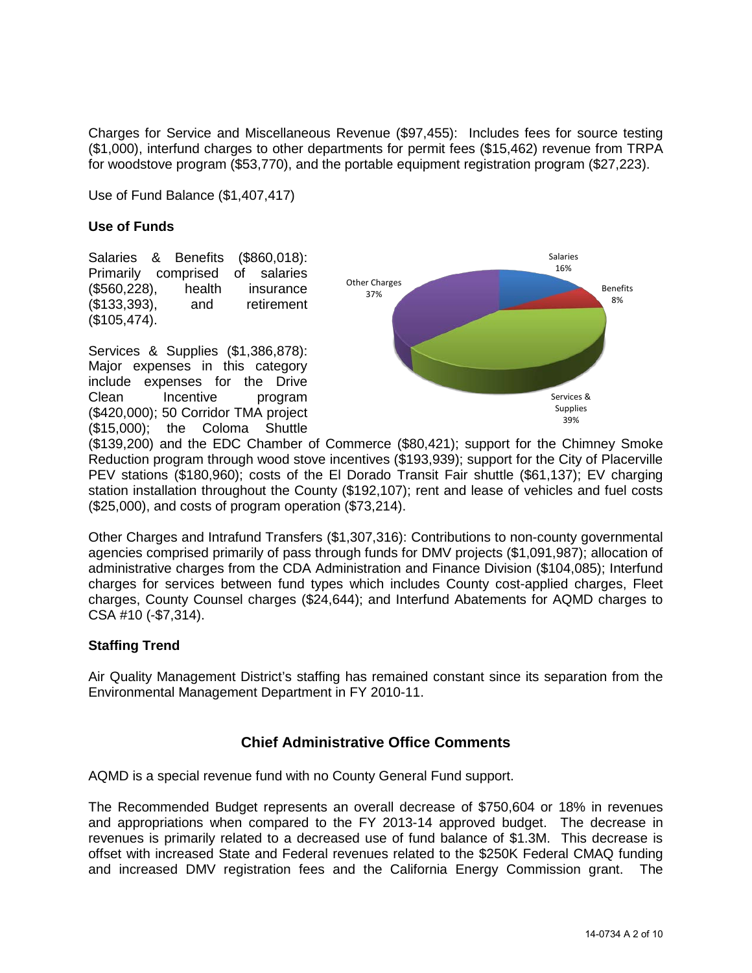Charges for Service and Miscellaneous Revenue (\$97,455): Includes fees for source testing (\$1,000), interfund charges to other departments for permit fees (\$15,462) revenue from TRPA for woodstove program (\$53,770), and the portable equipment registration program (\$27,223).

Use of Fund Balance (\$1,407,417)

### **Use of Funds**

Salaries & Benefits (\$860,018): Primarily comprised of salaries (\$560,228), health insurance (\$133,393), and retirement (\$105,474).

Services & Supplies (\$1,386,878): Major expenses in this category include expenses for the Drive Clean Incentive program (\$420,000); 50 Corridor TMA project (\$15,000); the Coloma Shuttle



(\$139,200) and the EDC Chamber of Commerce (\$80,421); support for the Chimney Smoke Reduction program through wood stove incentives (\$193,939); support for the City of Placerville PEV stations (\$180,960); costs of the El Dorado Transit Fair shuttle (\$61,137); EV charging station installation throughout the County (\$192,107); rent and lease of vehicles and fuel costs (\$25,000), and costs of program operation (\$73,214).

Other Charges and Intrafund Transfers (\$1,307,316): Contributions to non-county governmental agencies comprised primarily of pass through funds for DMV projects (\$1,091,987); allocation of administrative charges from the CDA Administration and Finance Division (\$104,085); Interfund charges for services between fund types which includes County cost-applied charges, Fleet charges, County Counsel charges (\$24,644); and Interfund Abatements for AQMD charges to CSA #10 (-\$7,314).

### **Staffing Trend**

Air Quality Management District's staffing has remained constant since its separation from the Environmental Management Department in FY 2010-11.

## **Chief Administrative Office Comments**

AQMD is a special revenue fund with no County General Fund support.

The Recommended Budget represents an overall decrease of \$750,604 or 18% in revenues and appropriations when compared to the FY 2013-14 approved budget. The decrease in revenues is primarily related to a decreased use of fund balance of \$1.3M. This decrease is offset with increased State and Federal revenues related to the \$250K Federal CMAQ funding and increased DMV registration fees and the California Energy Commission grant. The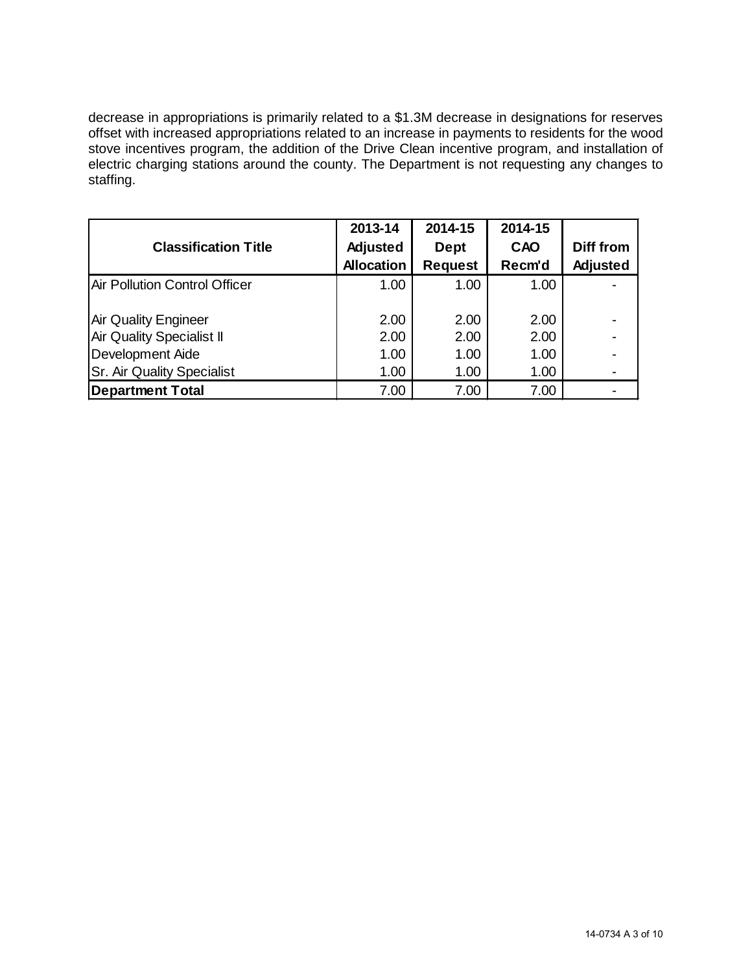decrease in appropriations is primarily related to a \$1.3M decrease in designations for reserves offset with increased appropriations related to an increase in payments to residents for the wood stove incentives program, the addition of the Drive Clean incentive program, and installation of electric charging stations around the county. The Department is not requesting any changes to staffing.

|                                   | 2013-14           | 2014-15        | 2014-15 |           |
|-----------------------------------|-------------------|----------------|---------|-----------|
| <b>Classification Title</b>       | Adjusted          | <b>Dept</b>    | CAO     | Diff from |
|                                   | <b>Allocation</b> | <b>Request</b> | Recm'd  | Adjusted  |
| Air Pollution Control Officer     | 1.00              | 1.00           | 1.00    |           |
|                                   |                   |                |         |           |
| <b>Air Quality Engineer</b>       | 2.00              | 2.00           | 2.00    |           |
| <b>Air Quality Specialist II</b>  | 2.00              | 2.00           | 2.00    |           |
| Development Aide                  | 1.00              | 1.00           | 1.00    |           |
| <b>Sr. Air Quality Specialist</b> | 1.00              | 1.00           | 1.00    |           |
| <b>Department Total</b>           | 7.00              | 7.00           | 7.00    |           |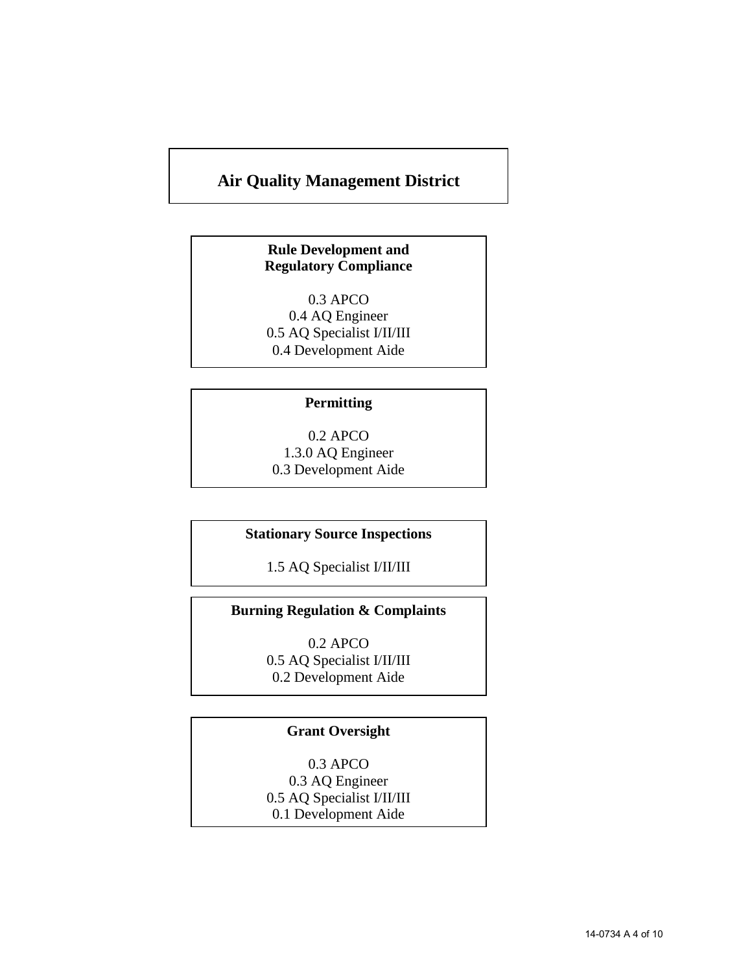# **Air Quality Management District**

## **Rule Development and Regulatory Compliance**

0.3 APCO 0.4 AQ Engineer 0.5 AQ Specialist I/II/III 0.4 Development Aide

### **Permitting**

0.2 APCO 1.3.0 AQ Engineer 0.3 Development Aide

### **Stationary Source Inspections**

1.5 AQ Specialist I/II/III

## **Burning Regulation & Complaints**

0.2 APCO 0.5 AQ Specialist I/II/III 0.2 Development Aide

## **Grant Oversight**

0.3 APCO 0.3 AQ Engineer 0.5 AQ Specialist I/II/III 0.1 Development Aide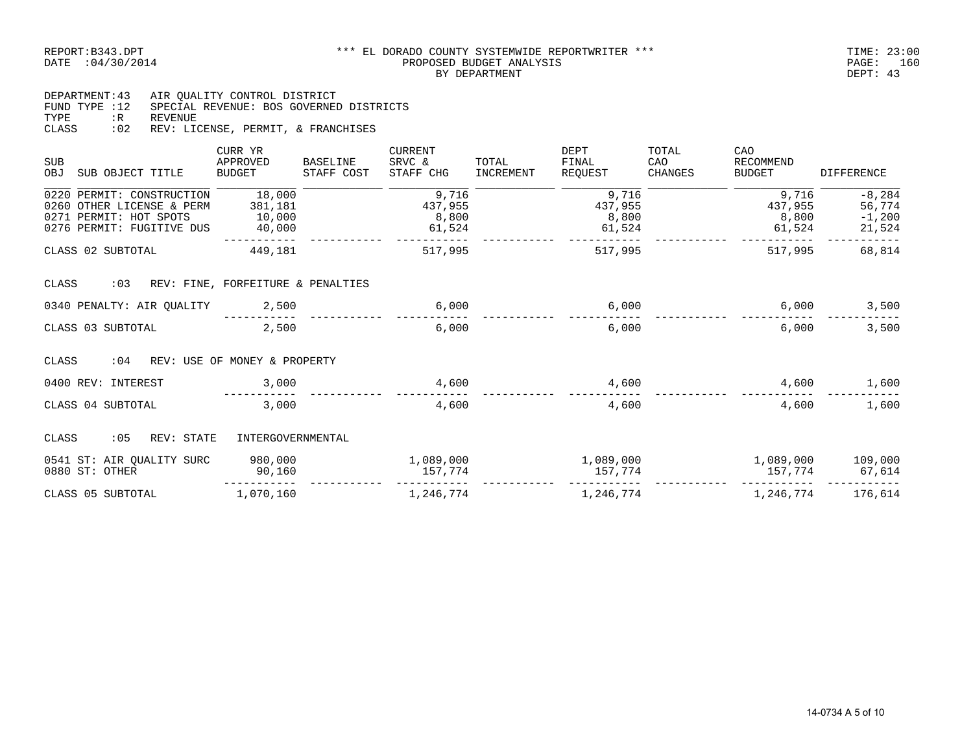#### \*\*\* EL DORADO COUNTY SYSTEMWIDE REPORTWRITER \*\*\* TIME: 23:00<br>PROPOSED BUDGET ANALYSIS DATE :04/30/2014 PROPOSED BUDGET ANALYSIS PAGE: 160 BY DEPARTMENT DEPT: 43

DEPARTMENT:43 AIR QUALITY CONTROL DISTRICT FUND TYPE :12 SPECIAL REVENUE: BOS GOVERNED DISTRICTS TYPE :R REVENUE CLASS :02 REV: LICENSE, PERMIT, & FRANCHISES

| <b>SUB</b><br>OBJ | SUB OBJECT TITLE                                                                                              | CURR YR<br>APPROVED<br><b>BUDGET</b>  | <b>BASELINE</b><br>STAFF COST | <b>CURRENT</b><br>SRVC &<br>STAFF CHG | TOTAL<br>INCREMENT | DEPT<br>FINAL<br>REOUEST            | TOTAL<br>CAO<br>CHANGES | CAO<br>RECOMMEND<br><b>BUDGET</b>   | <b>DIFFERENCE</b>                        |
|-------------------|---------------------------------------------------------------------------------------------------------------|---------------------------------------|-------------------------------|---------------------------------------|--------------------|-------------------------------------|-------------------------|-------------------------------------|------------------------------------------|
|                   | 0220 PERMIT: CONSTRUCTION<br>0260 OTHER LICENSE & PERM<br>0271 PERMIT: HOT SPOTS<br>0276 PERMIT: FUGITIVE DUS | 18,000<br>381,181<br>10,000<br>40,000 |                               | 9,716<br>437,955<br>8,800<br>61,524   |                    | 9,716<br>437,955<br>8,800<br>61,524 |                         | 9,716<br>437,955<br>8,800<br>61,524 | $-8,284$<br>56,774<br>$-1,200$<br>21,524 |
|                   | CLASS 02 SUBTOTAL                                                                                             | 449,181                               |                               | 517,995                               |                    | 517,995                             |                         | 517,995                             | 68,814                                   |
| CLASS             | : 03                                                                                                          | REV: FINE, FORFEITURE & PENALTIES     |                               |                                       |                    |                                     |                         |                                     |                                          |
|                   | 0340 PENALTY: AIR OUALITY                                                                                     | 2,500                                 |                               | 6,000                                 |                    | 6,000                               |                         | 6,000                               | 3,500                                    |
|                   | CLASS 03 SUBTOTAL                                                                                             | 2,500                                 |                               | 6,000                                 |                    | 6.000                               |                         | 6.000                               | 3,500                                    |
| CLASS             | : 04                                                                                                          | REV: USE OF MONEY & PROPERTY          |                               |                                       |                    |                                     |                         |                                     |                                          |
|                   | 0400 REV: INTEREST                                                                                            | 3,000                                 |                               | 4,600                                 |                    | 4,600                               |                         | 4,600                               | 1,600                                    |
|                   | CLASS 04 SUBTOTAL                                                                                             | 3,000                                 |                               | 4,600                                 |                    | 4,600                               |                         | 4,600                               | 1,600                                    |
| CLASS             | :05<br>REV: STATE                                                                                             | INTERGOVERNMENTAL                     |                               |                                       |                    |                                     |                         |                                     |                                          |
|                   | 0541 ST: AIR QUALITY SURC<br>0880 ST: OTHER                                                                   | 980,000<br>90,160                     |                               | 1,089,000<br>157,774                  |                    | 1,089,000<br>157,774                |                         | 1,089,000<br>157,774                | 109,000<br>67,614                        |
|                   | CLASS 05 SUBTOTAL                                                                                             | 1,070,160                             |                               | 1,246,774                             |                    | 1,246,774                           |                         | 1,246,774                           | 176,614                                  |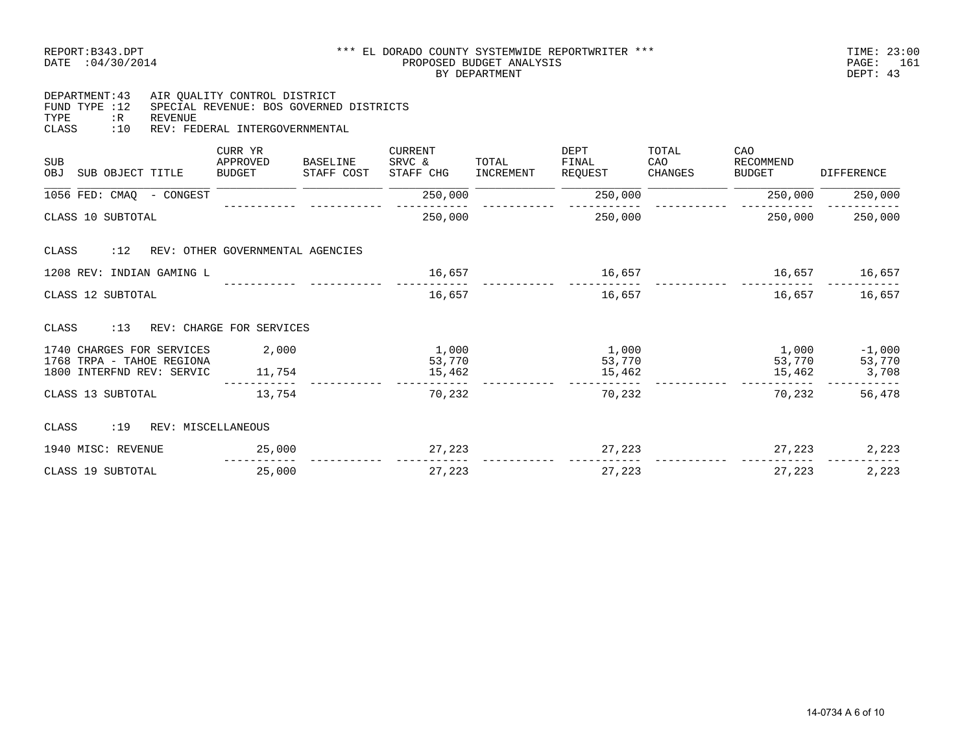| DEPARTMENT: 43 |     | AIR OUALITY CONTROL DISTRICT            |
|----------------|-----|-----------------------------------------|
| FIND TYPE :12  |     | SPECIAL REVENUE: BOS GOVERNED DISTRICTS |
| TYPF.          | : R | REVENUE                                 |
| <b>CLASS</b>   | :10 | REV: FEDERAL INTERGOVERNMENTAL          |
|                |     |                                         |

| <b>SUB</b><br><b>OBJ</b><br>SUB OBJECT TITLE           | CURR YR<br>APPROVED<br><b>BUDGET</b> | BASELINE<br>STAFF COST | <b>CURRENT</b><br>SRVC &<br>STAFF CHG | TOTAL<br>INCREMENT | DEPT<br>FINAL<br>REOUEST | TOTAL<br>CAO<br>CHANGES | CAO<br>RECOMMEND<br><b>BUDGET</b> | <b>DIFFERENCE</b>  |
|--------------------------------------------------------|--------------------------------------|------------------------|---------------------------------------|--------------------|--------------------------|-------------------------|-----------------------------------|--------------------|
| 1056 FED: CMAQ<br>- CONGEST                            |                                      |                        | 250,000                               |                    | 250,000                  |                         | 250,000                           | 250,000            |
| CLASS 10 SUBTOTAL                                      |                                      |                        | 250,000                               |                    | 250,000                  |                         | 250,000                           | 250,000            |
| :12<br>CLASS                                           | REV: OTHER GOVERNMENTAL AGENCIES     |                        |                                       |                    |                          |                         |                                   |                    |
| 1208 REV: INDIAN GAMING L                              |                                      |                        | 16,657                                |                    | 16,657                   |                         | 16,657                            | 16,657             |
| CLASS 12 SUBTOTAL                                      |                                      |                        | 16,657                                |                    | 16,657                   |                         | 16,657                            | 16,657             |
| : 13<br>CLASS                                          | REV: CHARGE FOR SERVICES             |                        |                                       |                    |                          |                         |                                   |                    |
| 1740 CHARGES FOR SERVICES<br>1768 TRPA - TAHOE REGIONA | 2,000                                |                        | 1,000<br>53,770                       |                    | 1,000<br>53,770          |                         | 1,000<br>53,770                   | $-1,000$<br>53,770 |
| 1800 INTERFND REV: SERVIC                              | 11,754                               |                        | 15,462                                |                    | 15,462                   |                         | 15,462                            | 3,708              |
| CLASS 13 SUBTOTAL                                      | 13,754                               |                        | 70,232                                |                    | 70,232                   |                         | 70,232                            | 56,478             |
| :19<br>CLASS<br>REV: MISCELLANEOUS                     |                                      |                        |                                       |                    |                          |                         |                                   |                    |
| 1940 MISC: REVENUE                                     | 25,000                               |                        | 27,223                                |                    | 27,223                   |                         | 27,223                            | 2,223              |
| CLASS 19 SUBTOTAL                                      | 25,000                               |                        | 27,223                                |                    | 27,223                   |                         | 27,223                            | 2,223              |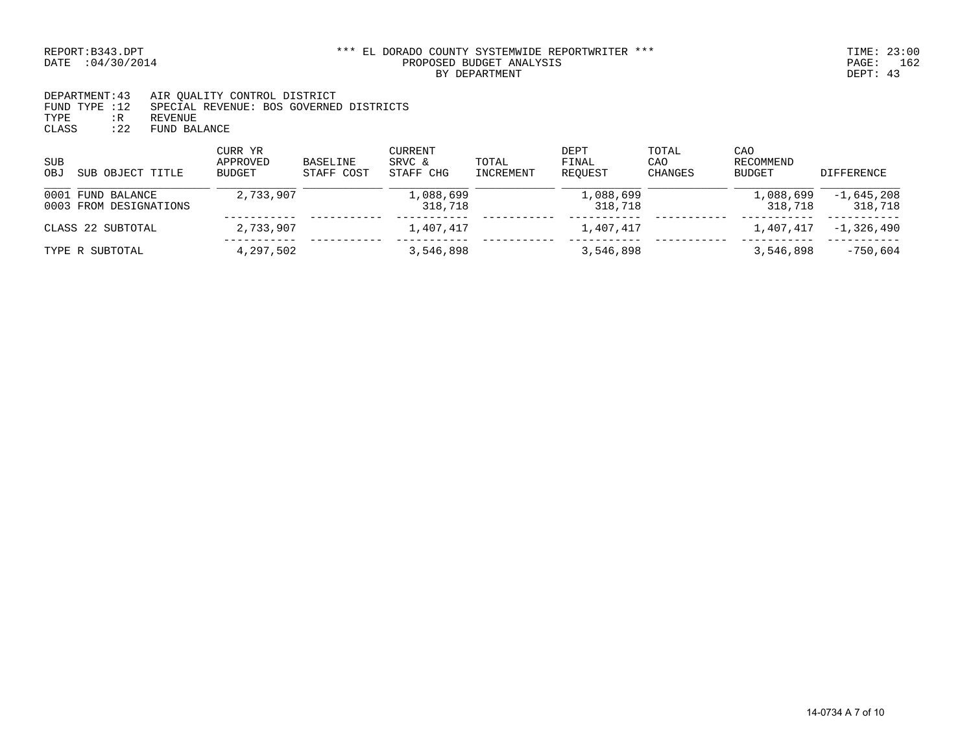DEPARTMENT:43 AIR QUALITY CONTROL DISTRICT FUND TYPE :12 SPECIAL REVENUE: BOS GOVERNED DISTRICTS TYPE :R REVENUE CLASS :22 FUND BALANCE

| SUB<br>OBJ<br>SUB OBJECT TITLE              | CURR YR<br>APPROVED<br>BUDGET | <b>BASELINE</b><br>STAFF COST | CURRENT<br>SRVC &<br>STAFF CHG | TOTAL<br>INCREMENT | DEPT<br>FINAL<br>REOUEST | TOTAL<br>CAO<br><b>CHANGES</b> | CAO<br>RECOMMEND<br><b>BUDGET</b> | DIFFERENCE              |
|---------------------------------------------|-------------------------------|-------------------------------|--------------------------------|--------------------|--------------------------|--------------------------------|-----------------------------------|-------------------------|
| 0001 FUND BALANCE<br>0003 FROM DESIGNATIONS | 2,733,907                     |                               | 1,088,699<br>318,718           |                    | 1,088,699<br>318,718     |                                | 1,088,699<br>318,718              | $-1,645,208$<br>318,718 |
| CLASS 22 SUBTOTAL                           | 2,733,907                     |                               | 1,407,417                      |                    | 1,407,417                |                                | 1,407,417                         | $-1,326,490$            |
| TYPE R SUBTOTAL                             | 4,297,502                     |                               | 3,546,898                      |                    | 3,546,898                |                                | 3,546,898                         | -750,604                |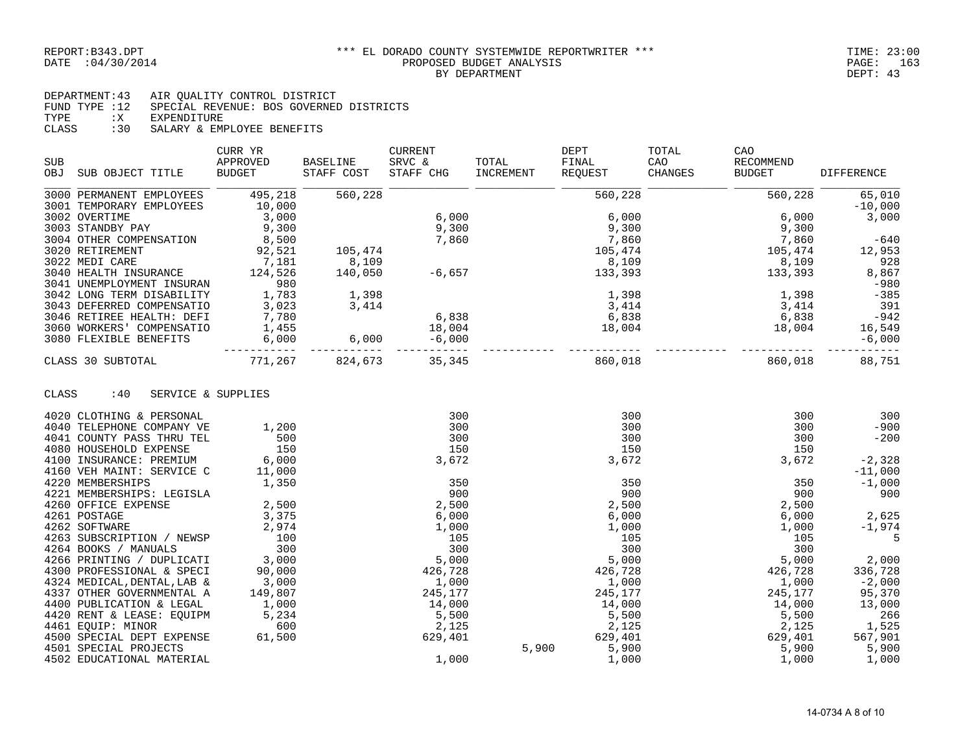4502 EDUCATIONAL MATERIAL

#### REPORT:B343.DPT \*\*\* EL DORADO COUNTY SYSTEMWIDE REPORTWRITER \*\*\* TIME: 23:00 PROPOSED BUDGET ANALYSIS FROPOSED BUDGET ANALYSIS FROPOSED BUDGET ANALYSIS BY DEPARTMENT DEPT: 43

DEPARTMENT:43 AIR QUALITY CONTROL DISTRICT FUND TYPE :12 SPECIAL REVENUE: BOS GOVERNED DISTRICTS<br>TYPE :X EXPENDITURE : X EXPENDITURE CLASS :30 SALARY & EMPLOYEE BENEFITS

| <b>SUB</b>                     | CURR YR<br>APPROVED | <b>BASELINE</b>  | <b>CURRENT</b><br>SRVC & | TOTAL     | DEPT<br>FINAL       | TOTAL<br>CAO   | CAO<br>RECOMMEND    |                   |
|--------------------------------|---------------------|------------------|--------------------------|-----------|---------------------|----------------|---------------------|-------------------|
| <b>OBJ</b><br>SUB OBJECT TITLE | BUDGET              | STAFF COST       | STAFF CHG                | INCREMENT | REOUEST             | <b>CHANGES</b> | <b>BUDGET</b>       | <b>DIFFERENCE</b> |
| 3000 PERMANENT EMPLOYEES       | 495,218             | 560,228          |                          |           | 560,228             |                | 560,228             | 65,010            |
| 3001 TEMPORARY EMPLOYEES       | 10,000              |                  |                          |           |                     |                |                     | $-10,000$         |
| 3002 OVERTIME                  | 3,000               |                  | 6,000                    |           | 6,000               |                | 6,000               | 3,000             |
| 3003 STANDBY PAY               | 9,300               |                  | 9,300                    |           | 9,300               |                | 9,300               |                   |
| 3004 OTHER COMPENSATION        | 8,500               |                  | 7,860                    |           | 7,860               |                | 7,860               | $-640$            |
| 3020 RETIREMENT                | 92,521              | 105,474          |                          |           | 105,474             |                | 105,474             | 12,953            |
| 3022 MEDI CARE                 | 7,181               | 8,109            |                          |           | 8,109               |                | 8,109               | 928               |
| 3040 HEALTH INSURANCE          | 124,526             | 140,050          | $-6,657$                 |           | 133,393             |                | 133,393             | 8,867             |
| 3041 UNEMPLOYMENT INSURAN      | 980                 |                  |                          |           |                     |                |                     | $-980$            |
| 3042 LONG TERM DISABILITY      | 1,783               | 1,398            |                          |           | 1,398               |                | 1,398               | $-385$            |
| 3043 DEFERRED COMPENSATIO      | 3,023               | 3,414            |                          |           | 3,414               |                | 3,414               | 391               |
| 3046 RETIREE HEALTH: DEFI      | 7,780               |                  | 6,838                    |           | 6,838               |                |                     | $-942$            |
| 3060 WORKERS' COMPENSATIO      | 1,455               |                  | 18,004                   |           | ں دہ , o<br>004, 18 |                | $6,838$<br>$18,004$ | 16,549            |
| 3080 FLEXIBLE BENEFITS         | ----------          | 6,000<br>$6,000$ | $-6,000$                 |           |                     |                |                     | $-6,000$          |
| CLASS 30 SUBTOTAL              | 771,267             | 824,673          | 35, 345                  |           | 860,018             |                | 860,018             | 88,751            |
| :40<br>CLASS                   | SERVICE & SUPPLIES  |                  |                          |           |                     |                |                     |                   |
| 4020 CLOTHING & PERSONAL       |                     |                  | 300                      |           | 300                 |                | 300                 | 300               |
| 4040 TELEPHONE COMPANY VE      | 1,200               |                  | 300                      |           | 300                 |                | 300                 | $-900$            |
| 4041 COUNTY PASS THRU TEL      | 500                 |                  | 300                      |           | 300                 |                | 300                 | $-200$            |
| 4080 HOUSEHOLD EXPENSE         | 150                 |                  | 150                      |           | 150                 |                | 150                 |                   |
| 4100 INSURANCE: PREMIUM        | 6,000               |                  | 3,672                    |           | 3,672               |                | 3,672               | $-2,328$          |
| 4160 VEH MAINT: SERVICE C      | 11,000              |                  |                          |           |                     |                |                     | $-11,000$         |
| 4220 MEMBERSHIPS               | 1,350               |                  | 350                      |           | 350                 |                | 350                 | $-1,000$          |
| 4221 MEMBERSHIPS: LEGISLA      |                     |                  | 900                      |           | 900                 |                | 900                 | 900               |
| 4260 OFFICE EXPENSE            | 2,500               |                  | 2,500                    |           | 2,500               |                | 2,500               |                   |
| 4261 POSTAGE                   | 3,375               |                  | 6,000                    |           | 6,000               |                | 6,000               | 2,625             |
| 4262 SOFTWARE                  | 2,974               |                  | 1,000                    |           | 1,000               |                | 1,000               | $-1,974$          |
| 4263 SUBSCRIPTION / NEWSP      | 100                 |                  | 105                      |           | 105                 |                | 105                 | 5                 |
| 4264 BOOKS / MANUALS           | 300                 |                  | 300                      |           | 300                 |                | 300                 |                   |
| 4266 PRINTING / DUPLICATI      | 3,000               |                  | 5,000                    |           | 5,000               |                | 5,000               | 2,000             |
| 4300 PROFESSIONAL & SPECI      | 90,000              |                  | 426,728                  |           | 426,728             |                | 426,728             | 336,728           |
| 4324 MEDICAL, DENTAL, LAB &    | 3,000               |                  | 1,000                    |           | 1,000               |                | 1,000               | $-2,000$          |
| 4337 OTHER GOVERNMENTAL A      | 149,807             |                  | 245,177                  |           | 245,177             |                | 245,177             | 95,370            |
| 4400 PUBLICATION & LEGAL       | 1,000               |                  | 14,000                   |           | 14,000              |                | 14,000              | 13,000            |
| 4420 RENT & LEASE: EQUIPM      | 5,234               |                  | 5,500                    |           | 5,500               |                | 5,500               | 266               |
| 4461 EQUIP: MINOR              | 600                 |                  | 2,125                    |           | 2,125               |                | 2,125               | 1,525             |
| 4500 SPECIAL DEPT EXPENSE      | 61,500              |                  | 629,401                  |           | 629,401             |                | 629,401             | 567,901           |
| 4501 SPECIAL PROJECTS          |                     |                  |                          | 5,900     | 5,900               |                | 5,900               | 5,900             |

4501 SPECIAL PROJECTS 5,900 5,900 5,900 5,900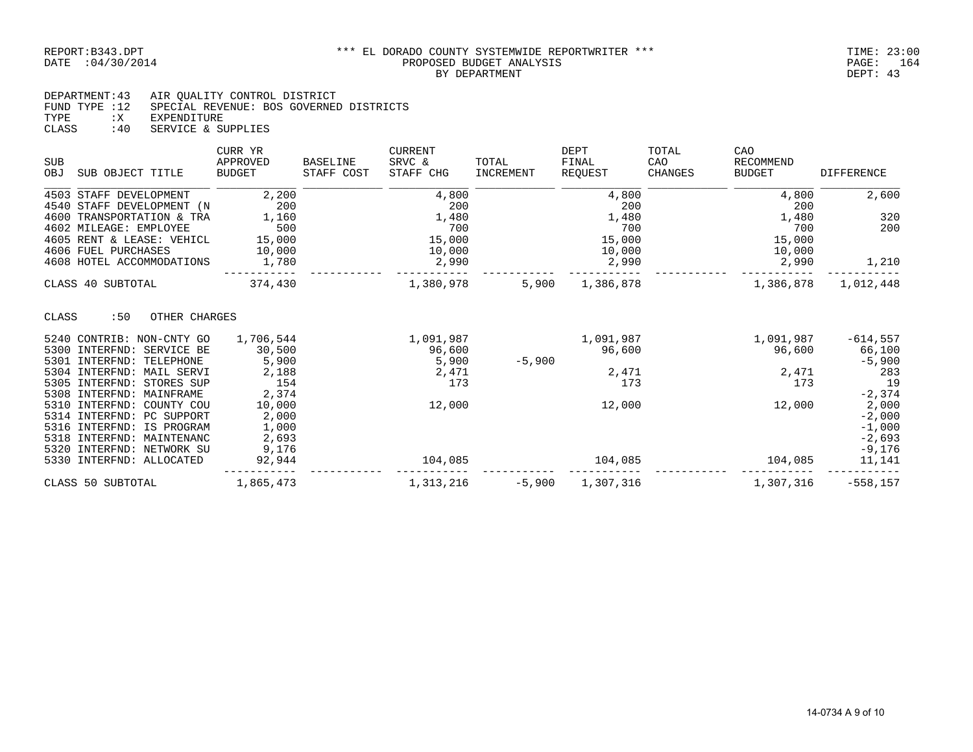DEPARTMENT:43 AIR QUALITY CONTROL DISTRICT FUND TYPE :12 SPECIAL REVENUE: BOS GOVERNED DISTRICTS TYPE :X EXPENDITURE CLASS :40 SERVICE & SUPPLIES

| <b>SUB</b><br>OBJ | SUB OBJECT TITLE             | CURR YR<br>APPROVED<br><b>BUDGET</b> | <b>BASELINE</b><br>STAFF COST | <b>CURRENT</b><br>SRVC &<br>STAFF CHG | TOTAL<br><b>INCREMENT</b> | DEPT<br>FINAL<br><b>REOUEST</b> | TOTAL<br>CAO<br><b>CHANGES</b> | CAO<br>RECOMMEND<br><b>BUDGET</b> | <b>DIFFERENCE</b> |
|-------------------|------------------------------|--------------------------------------|-------------------------------|---------------------------------------|---------------------------|---------------------------------|--------------------------------|-----------------------------------|-------------------|
|                   | 4503 STAFF DEVELOPMENT       | 2,200                                |                               | 4,800                                 |                           | 4,800                           |                                | 4,800                             | 2,600             |
|                   | 4540 STAFF DEVELOPMENT (N    | 200                                  |                               | 200                                   |                           | 200                             |                                | 200                               |                   |
|                   | 4600 TRANSPORTATION & TRA    | 1,160                                |                               | 1,480                                 |                           | 1,480                           |                                | 1,480                             | 320               |
|                   | 4602 MILEAGE: EMPLOYEE       | 500                                  |                               | 700                                   |                           | 700                             |                                | 700                               | 200               |
|                   | 4605 RENT & LEASE: VEHICL    | 15,000                               |                               | 15,000                                |                           | 15,000                          |                                | 15,000                            |                   |
|                   | 4606 FUEL PURCHASES          | 10,000                               |                               | 10,000                                |                           | 10,000                          |                                | 10,000                            |                   |
|                   | 4608 HOTEL ACCOMMODATIONS    | 1,780                                |                               | 2,990                                 |                           | 2,990                           |                                | 2,990                             | 1,210             |
|                   | CLASS 40 SUBTOTAL            | 374,430                              |                               | 1,380,978                             | 5,900                     | 1,386,878                       |                                | 1,386,878                         | 1,012,448         |
| CLASS             | :50<br>OTHER CHARGES         |                                      |                               |                                       |                           |                                 |                                |                                   |                   |
|                   | 5240 CONTRIB: NON-CNTY GO    | 1,706,544                            |                               | 1,091,987                             |                           | 1,091,987                       |                                | 1,091,987                         | $-614,557$        |
|                   | 5300 INTERFND:<br>SERVICE BE | 30,500                               |                               | 96,600                                |                           | 96,600                          |                                | 96,600                            | 66,100            |
|                   | 5301 INTERFND:<br>TELEPHONE  | 5,900                                |                               | 5,900                                 | $-5,900$                  |                                 |                                |                                   | $-5,900$          |
|                   | 5304 INTERFND:<br>MAIL SERVI | 2,188                                |                               | 2,471                                 |                           | 2,471                           |                                | 2,471                             | 283               |
|                   | 5305 INTERFND:<br>STORES SUP | 154                                  |                               | 173                                   |                           | 173                             |                                | 173                               | 19                |
|                   | 5308 INTERFND:<br>MAINFRAME  | 2,374                                |                               |                                       |                           |                                 |                                |                                   | $-2,374$          |
| 5310              | INTERFND:<br>COUNTY COU      | 10,000                               |                               | 12,000                                |                           | 12,000                          |                                | 12,000                            | 2,000             |
| 5314              | INTERFND:<br>PC SUPPORT      | 2,000                                |                               |                                       |                           |                                 |                                |                                   | $-2,000$          |
|                   | 5316 INTERFND:<br>IS PROGRAM | 1,000                                |                               |                                       |                           |                                 |                                |                                   | $-1,000$          |
| 5318              | INTERFND:<br>MAINTENANC      | 2,693                                |                               |                                       |                           |                                 |                                |                                   | $-2,693$          |
|                   | 5320 INTERFND:<br>NETWORK SU | 9,176                                |                               |                                       |                           |                                 |                                |                                   | $-9,176$          |
|                   | 5330 INTERFND: ALLOCATED     | 92,944                               |                               | 104,085                               |                           | 104,085                         |                                | 104,085                           | 11,141            |
|                   | CLASS 50 SUBTOTAL            | 1,865,473                            |                               | 1,313,216                             | $-5,900$                  | 1,307,316                       |                                | 1,307,316                         | $-558, 157$       |